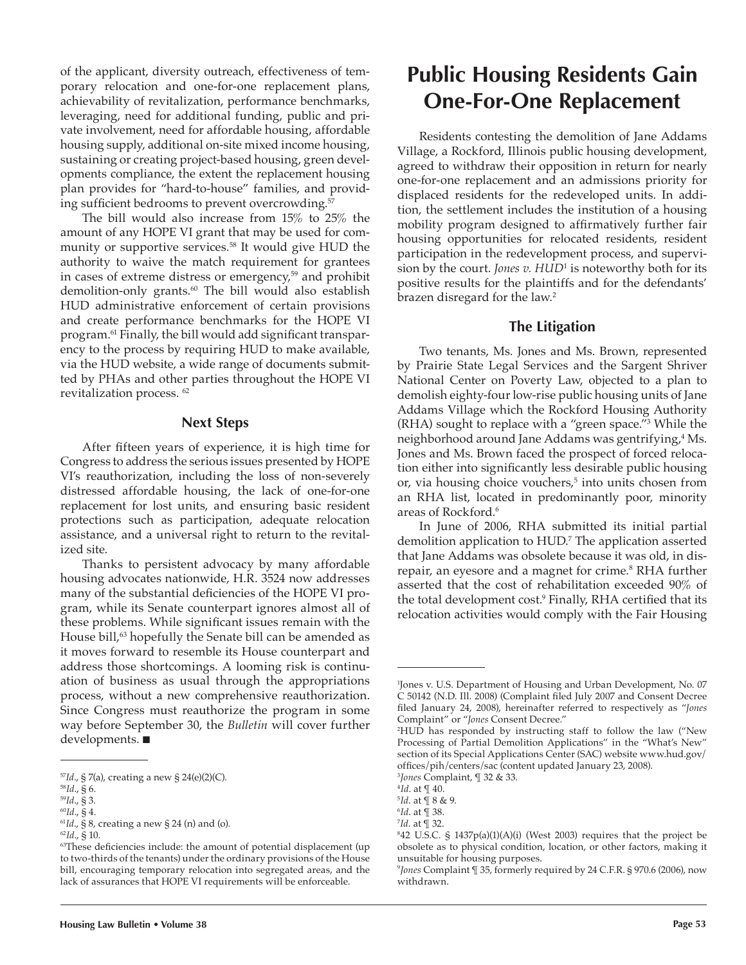of the applicant, diversity outreach, effectiveness of temporary relocation and one-for-one replacement plans, achievability of revitalization, performance benchmarks, leveraging, need for additional funding, public and private involvement, need for affordable housing, affordable housing supply, additional on-site mixed income housing, sustaining or creating project-based housing, green developments compliance, the extent the replacement housing plan provides for "hard-to-house" families, and providing sufficient bedrooms to prevent overcrowding.<sup>57</sup>

The bill would also increase from 15% to 25% the amount of any HOPE VI grant that may be used for community or supportive services.<sup>58</sup> It would give HUD the authority to waive the match requirement for grantees in cases of extreme distress or emergency, $59$  and prohibit demolition-only grants.<sup>60</sup> The bill would also establish HUD administrative enforcement of certain provisions and create performance benchmarks for the HOPE VI program.<sup>61</sup> Finally, the bill would add significant transparency to the process by requiring HUD to make available, via the HUD website, a wide range of documents submitted by PHAs and other parties throughout the HOPE VI revitalization process. 62

#### **Next Steps**

After fifteen years of experience, it is high time for Congress to address the serious issues presented by HOPE VI's reauthorization, including the loss of non-severely distressed affordable housing, the lack of one-for-one replacement for lost units, and ensuring basic resident protections such as participation, adequate relocation assistance, and a universal right to return to the revitalized site.

Thanks to persistent advocacy by many affordable housing advocates nationwide, H.R. 3524 now addresses many of the substantial deficiencies of the HOPE VI program, while its Senate counterpart ignores almost all of these problems. While significant issues remain with the House bill,<sup>63</sup> hopefully the Senate bill can be amended as it moves forward to resemble its House counterpart and address those shortcomings. A looming risk is continuation of business as usual through the appropriations process, without a new comprehensive reauthorization. Since Congress must reauthorize the program in some way before September 30, the *Bulletin* will cover further developments.  $\blacksquare$ 

# **Public Housing Residents Gain One-For-One Replacement**

Residents contesting the demolition of Jane Addams Village, a Rockford, Illinois public housing development, agreed to withdraw their opposition in return for nearly one-for-one replacement and an admissions priority for displaced residents for the redeveloped units. In addition, the settlement includes the institution of a housing mobility program designed to affirmatively further fair housing opportunities for relocated residents, resident participation in the redevelopment process, and supervision by the court. *Jones v. HUD*<sup>1</sup> is noteworthy both for its positive results for the plaintiffs and for the defendants' brazen disregard for the law.<sup>2</sup>

### **The Litigation**

Two tenants, Ms. Jones and Ms. Brown, represented by Prairie State Legal Services and the Sargent Shriver National Center on Poverty Law, objected to a plan to demolish eighty-four low-rise public housing units of Jane Addams Village which the Rockford Housing Authority (RHA) sought to replace with a "green space."3 While the neighborhood around Jane Addams was gentrifying,<sup>4</sup> Ms. Jones and Ms. Brown faced the prospect of forced relocation either into significantly less desirable public housing or, via housing choice vouchers,5 into units chosen from an RHA list, located in predominantly poor, minority areas of Rockford.<sup>6</sup>

In June of 2006, RHA submitted its initial partial demolition application to HUD.7 The application asserted that Jane Addams was obsolete because it was old, in disrepair, an eyesore and a magnet for crime.<sup>8</sup> RHA further asserted that the cost of rehabilitation exceeded 90% of the total development cost.<sup>9</sup> Finally, RHA certified that its relocation activities would comply with the Fair Housing

<sup>57</sup>*Id*., § 7(a), creating a new § 24(e)(2)(C).

<sup>58</sup>*Id*., § 6.

<sup>59</sup>*Id*., § 3.

<sup>60</sup>*Id*., § 4.

<sup>61</sup>*Id*., § 8, creating a new § 24 (n) and (o).

<sup>62</sup>*Id*., § 10.

<sup>&</sup>lt;sup>63</sup>These deficiencies include: the amount of potential displacement (up to two-thirds of the tenants) under the ordinary provisions of the House bill, encouraging temporary relocation into segregated areas, and the lack of assurances that HOPE VI requirements will be enforceable.

<sup>1</sup> Jones v. U.S. Department of Housing and Urban Development, No. 07 C 50142 (N.D. Ill. 2008) (Complaint filed July 2007 and Consent Decree filed January 24, 2008), hereinafter referred to respectively as "Jones Complaint" or "*Jones* Consent Decree."

<sup>2</sup> HUD has responded by instructing staff to follow the law ("New Processing of Partial Demolition Applications" in the "What's New" section of its Special Applications Center (SAC) website www.hud.gov/ offices/pih/centers/sac (content updated January 23, 2008).

<sup>3</sup> *Jones* Complaint, ¶ 32 & 33. <sup>4</sup>*Id*. at ¶ 40.

<sup>5</sup> *Id*. at ¶ 8 & 9.

<sup>6</sup> *Id*. at ¶ 38. 7 *Id*. at ¶ 32.

<sup>8</sup> 42 U.S.C. § 1437p(a)(1)(A)(i) (West 2003) requires that the project be obsolete as to physical condition, location, or other factors, making it unsuitable for housing purposes.

<sup>9</sup> *Jones* Complaint ¶ 35, formerly required by 24 C.F.R. § 970.6 (2006), now withdrawn.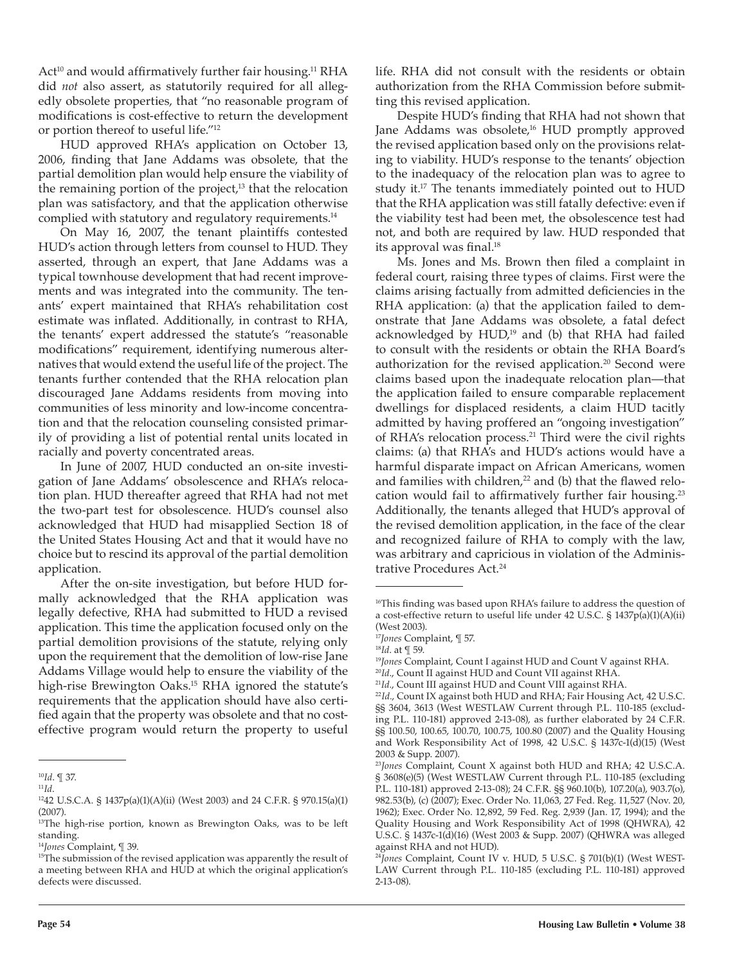Act<sup>10</sup> and would affirmatively further fair housing.<sup>11</sup> RHA did *not* also assert, as statutorily required for all allegedly obsolete properties, that "no reasonable program of modifications is cost-effective to return the development or portion thereof to useful life."12

HUD approved RHA's application on October 13, 2006, finding that Jane Addams was obsolete, that the partial demolition plan would help ensure the viability of the remaining portion of the project, $13$  that the relocation plan was satisfactory, and that the application otherwise complied with statutory and regulatory requirements. $14$ 

On May 16, 2007, the tenant plaintiffs contested HUD's action through letters from counsel to HUD. They asserted, through an expert, that Jane Addams was a typical townhouse development that had recent improvements and was integrated into the community. The tenants' expert maintained that RHA's rehabilitation cost estimate was inflated. Additionally, in contrast to RHA, the tenants' expert addressed the statute's "reasonable modifications" requirement, identifying numerous alternatives that would extend the useful life of the project. The tenants further contended that the RHA relocation plan discouraged Jane Addams residents from moving into communities of less minority and low-income concentration and that the relocation counseling consisted primarily of providing a list of potential rental units located in racially and poverty concentrated areas.

In June of 2007, HUD conducted an on-site investigation of Jane Addams' obsolescence and RHA's relocation plan. HUD thereafter agreed that RHA had not met the two-part test for obsolescence. HUD's counsel also acknowledged that HUD had misapplied Section 18 of the United States Housing Act and that it would have no choice but to rescind its approval of the partial demolition application.

After the on-site investigation, but before HUD formally acknowledged that the RHA application was legally defective, RHA had submitted to HUD a revised application. This time the application focused only on the partial demolition provisions of the statute, relying only upon the requirement that the demolition of low-rise Jane Addams Village would help to ensure the viability of the high-rise Brewington Oaks.<sup>15</sup> RHA ignored the statute's requirements that the application should have also certi fied again that the property was obsolete and that no costeffective program would return the property to useful

life. RHA did not consult with the residents or obtain authorization from the RHA Commission before submitting this revised application.

Despite HUD's finding that RHA had not shown that Jane Addams was obsolete,<sup>16</sup> HUD promptly approved the revised application based only on the provisions relating to viability. HUD's response to the tenants' objection to the inadequacy of the relocation plan was to agree to study it.17 The tenants immediately pointed out to HUD that the RHA application was still fatally defective: even if the viability test had been met, the obsolescence test had not, and both are required by law. HUD responded that its approval was final.<sup>18</sup>

Ms. Jones and Ms. Brown then filed a complaint in federal court, raising three types of claims. First were the claims arising factually from admitted deficiencies in the RHA application: (a) that the application failed to demonstrate that Jane Addams was obsolete, a fatal defect acknowledged by  $HUD<sup>19</sup>$  and (b) that RHA had failed to consult with the residents or obtain the RHA Board's authorization for the revised application.<sup>20</sup> Second were claims based upon the inadequate relocation plan—that the application failed to ensure comparable replacement dwellings for displaced residents, a claim HUD tacitly admitted by having proffered an "ongoing investigation" of RHA's relocation process.<sup>21</sup> Third were the civil rights claims: (a) that RHA's and HUD's actions would have a harmful disparate impact on African Americans, women and families with children,<sup>22</sup> and (b) that the flawed relocation would fail to affirmatively further fair housing.<sup>23</sup> Additionally, the tenants alleged that HUD's approval of the revised demolition application, in the face of the clear and recognized failure of RHA to comply with the law, was arbitrary and capricious in violation of the Administrative Procedures Act.<sup>24</sup>

<sup>10</sup>*Id*. ¶ 37.

<sup>11</sup>*Id*. 1242 U.S.C.A. § 1437p(a)(1)(A)(ii) (West 2003) and 24 C.F.R. § 970.15(a)(1) (2007).

<sup>&</sup>lt;sup>13</sup>The high-rise portion, known as Brewington Oaks, was to be left standing.

<sup>14</sup>*Jones* Complaint, ¶ 39.

<sup>&</sup>lt;sup>15</sup>The submission of the revised application was apparently the result of a meeting between RHA and HUD at which the original application's defects were discussed.

<sup>&</sup>lt;sup>16</sup>This finding was based upon RHA's failure to address the question of a cost-effective return to useful life under 42 U.S.C. § 1437p(a)(1)(A)(ii) (West 2003).

<sup>17</sup>*Jones* Complaint, ¶ 57.

<sup>18</sup>*Id*. at ¶ 59.

<sup>19</sup>*Jones* Complaint, Count I against HUD and Count V against RHA.

<sup>20</sup>*Id*., Count II against HUD and Count VII against RHA.

<sup>21</sup>*Id.*, Count III against HUD and Count VIII against RHA.

<sup>22</sup>*Id.*, Count IX against both HUD and RHA; Fair Housing Act, 42 U.S.C. §§ 3604, 3613 (West WESTLAW Current through P.L. 110-185 (excluding P.L. 110-181) approved 2-13-08), as further elaborated by 24 C.F.R. §§ 100.50, 100.65, 100.70, 100.75, 100.80 (2007) and the Quality Housing and Work Responsibility Act of 1998, 42 U.S.C. § 1437c-1(d)(15) (West 2003 & Supp. 2007).

<sup>23</sup>*Jones* Complaint, Count X against both HUD and RHA; 42 U.S.C.A. § 3608(e)(5) (West WESTLAW Current through P.L. 110-185 (excluding P.L. 110-181) approved 2-13-08); 24 C.F.R. §§ 960.10(b), 107.20(a), 903.7(o), 982.53(b), (c) (2007); Exec. Order No. 11,063, 27 Fed. Reg. 11,527 (Nov. 20, 1962); Exec. Order No. 12,892, 59 Fed. Reg. 2,939 (Jan. 17, 1994); and the Quality Housing and Work Responsibility Act of 1998 (QHWRA), 42 U.S.C. § 1437c-1(d)(16) (West 2003 & Supp. 2007) (QHWRA was alleged against RHA and not HUD).

<sup>24</sup>*Jones* Complaint, Count IV v. HUD, 5 U.S.C. § 701(b)(1) (West WEST-LAW Current through P.L. 110-185 (excluding P.L. 110-181) approved 2-13-08).